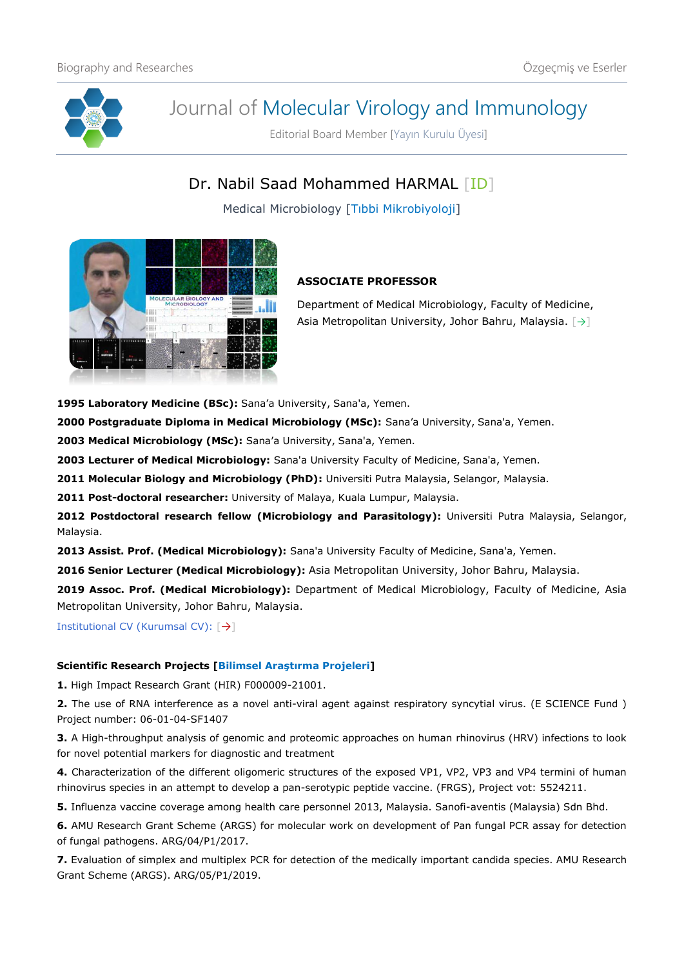

# Journal of Molecular Virology and Immunology

Editorial Board Member [Yayın Kurulu Üyesi]

Dr. Nabil Saad Mohammed HARMAL [\[ID\]](https://orcid.org/0000-0002-3736-6108)

Medical Microbiology [Tıbbi Mikrobiyoloji]



# **ASSOCIATE PROFESSOR**

Department of Medical Microbiology, Faculty of Medicine, Asia Metropolitan University, Johor Bahru, Malaysia. [[→](https://www.amu.edu.my/staff-directory/)]

**1995 Laboratory Medicine (BSc):** Sana'a University, Sana'a, Yemen.

**2000 Postgraduate Diploma in Medical Microbiology (MSc):** Sana'a University, Sana'a, Yemen.

**2003 Medical Microbiology (MSc):** Sana'a University, Sana'a, Yemen.

**2003 Lecturer of Medical Microbiology:** Sana'a University Faculty of Medicine, Sana'a, Yemen.

**2011 Molecular Biology and Microbiology (PhD):** Universiti Putra Malaysia, Selangor, Malaysia.

**2011 Post-doctoral researcher:** University of Malaya, Kuala Lumpur, Malaysia.

**2012 Postdoctoral research fellow (Microbiology and Parasitology):** Universiti Putra Malaysia, Selangor, Malaysia.

**2013 Assist. Prof. (Medical Microbiology):** Sana'a University Faculty of Medicine, Sana'a, Yemen.

**2016 Senior Lecturer (Medical Microbiology):** Asia Metropolitan University, Johor Bahru, Malaysia.

**2019 Assoc. Prof. (Medical Microbiology):** Department of Medical Microbiology, Faculty of Medicine, Asia Metropolitan University, Johor Bahru, Malaysia.

Institutional CV (Kurumsal CV): [[→](https://www.udusok.edu.ng/staff/hudu-shuaibu-abdullahi/)]

## **Scientific Research Projects [Bilimsel Araştırma Projeleri]**

**1.** High Impact Research Grant (HIR) F000009-21001.

**2.** The use of RNA interference as a novel anti-viral agent against respiratory syncytial virus. (E SCIENCE Fund ) Project number: 06-01-04-SF1407

**3.** A High-throughput analysis of genomic and proteomic approaches on human rhinovirus (HRV) infections to look for novel potential markers for diagnostic and treatment

**4.** Characterization of the different oligomeric structures of the exposed VP1, VP2, VP3 and VP4 termini of human rhinovirus species in an attempt to develop a pan-serotypic peptide vaccine. (FRGS), Project vot: 5524211.

**5.** Influenza vaccine coverage among health care personnel 2013, Malaysia. Sanofi-aventis (Malaysia) Sdn Bhd.

**6.** AMU Research Grant Scheme (ARGS) for molecular work on development of Pan fungal PCR assay for detection of fungal pathogens. ARG/04/P1/2017.

**7.** Evaluation of simplex and multiplex PCR for detection of the medically important candida species. AMU Research Grant Scheme (ARGS). ARG/05/P1/2019.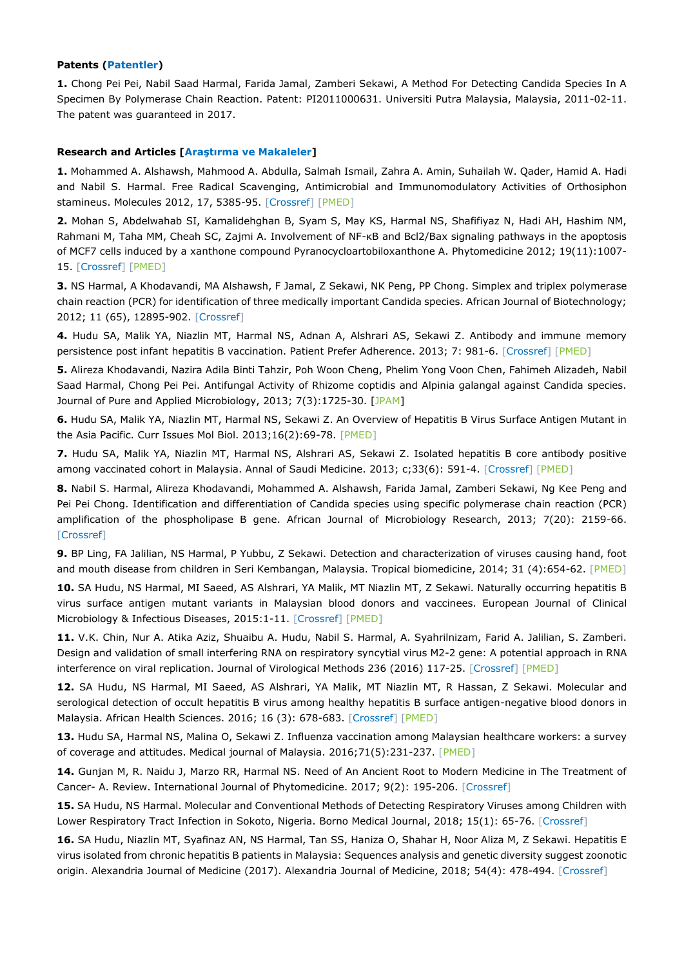#### **Patents (Patentler)**

**1.** Chong Pei Pei, Nabil Saad Harmal, Farida Jamal, Zamberi Sekawi, A Method For Detecting Candida Species In A Specimen By Polymerase Chain Reaction. Patent: PI2011000631. Universiti Putra Malaysia, Malaysia, 2011-02-11. The patent was guaranteed in 2017.

#### **Research and Articles [Araştırma ve Makaleler]**

**1.** Mohammed A. Alshawsh, Mahmood A. Abdulla, Salmah Ismail, Zahra A. Amin, Suhailah W. Qader, Hamid A. Hadi and Nabil S. Harmal. Free Radical Scavenging, Antimicrobial and Immunomodulatory Activities of Orthosiphon stamineus. Molecules 2012, 17, 5385-95. [\[Crossref\]](https://doi.org/10.3390/molecules17055385) [\[PMED\]](https://pubmed.ncbi.nlm.nih.gov/22569417/)

**2.** Mohan S, Abdelwahab SI, Kamalidehghan B, Syam S, May KS, Harmal NS, Shafifiyaz N, Hadi AH, Hashim NM, Rahmani M, Taha MM, Cheah SC, Zajmi A. Involvement of NF-κB and Bcl2/Bax signaling pathways in the apoptosis of MCF7 cells induced by a xanthone compound Pyranocycloartobiloxanthone A. Phytomedicine 2012; 19(11):1007- 15. [\[Crossref\]](https://doi.org/10.1016/j.phymed.2012.05.012) [\[PMED\]](https://pubmed.ncbi.nlm.nih.gov/22739412/)

**3.** NS Harmal, A Khodavandi, MA Alshawsh, F Jamal, Z Sekawi, NK Peng, PP Chong. Simplex and triplex polymerase chain reaction (PCR) for identification of three medically important Candida species. African Journal of Biotechnology; 2012; 11 (65), 12895-902. [\[Crossref\]](https://doi.org/10.5897/AJB12.1708)

**4.** Hudu SA, Malik YA, Niazlin MT, Harmal NS, Adnan A, Alshrari AS, Sekawi Z. Antibody and immune memory persistence post infant hepatitis B vaccination. Patient Prefer Adherence. 2013; 7: 981-6. [\[Crossref\]](https://doi.org/10.2147/PPA.S49776) [\[PMED\]](https://pubmed.ncbi.nlm.nih.gov/24101865/)

**5.** Alireza Khodavandi, Nazira Adila Binti Tahzir, Poh Woon Cheng, Phelim Yong Voon Chen, Fahimeh Alizadeh, Nabil Saad Harmal, Chong Pei Pei. Antifungal Activity of Rhizome coptidis and Alpinia galangal against Candida species. Journal of Pure and Applied Microbiology, 2013; 7(3):1725-30. [\[JPAM\]](https://microbiologyjournal.org/antifungal-activity-of-rhizome-coptidis-and-alpinia-galangal-against-candida-species/)

**6.** Hudu SA, Malik YA, Niazlin MT, Harmal NS, Sekawi Z. An Overview of Hepatitis B Virus Surface Antigen Mutant in the Asia Pacific. Curr Issues Mol Biol. 2013;16(2):69-78. [\[PMED\]](https://pubmed.ncbi.nlm.nih.gov/24014801/)

**7.** Hudu SA, Malik YA, Niazlin MT, Harmal NS, Alshrari AS, Sekawi Z. Isolated hepatitis B core antibody positive among vaccinated cohort in Malaysia. Annal of Saudi Medicine. 2013; c;33(6): 591-4. [\[Crossref\]](https://doi.org/10.5144/0256-4947.2013.591) [\[PMED\]](https://pubmed.ncbi.nlm.nih.gov/24413864/)

**8.** Nabil S. Harmal, Alireza Khodavandi, Mohammed A. Alshawsh, Farida Jamal, Zamberi Sekawi, Ng Kee Peng and Pei Pei Chong. Identification and differentiation of Candida species using specific polymerase chain reaction (PCR) amplification of the phospholipase B gene. African Journal of Microbiology Research, 2013; 7(20): 2159-66. [\[Crossref\]](https://doi.org/10.5897/AJMR2013.2501)

**9.** BP Ling, FA Jalilian, NS Harmal, P Yubbu, Z Sekawi. Detection and characterization of viruses causing hand, foot and mouth disease from children in Seri Kembangan, Malaysia. Tropical biomedicine, 2014; 31 (4):654-62. [\[PMED\]](https://pubmed.ncbi.nlm.nih.gov/25776590/)

**10.** SA Hudu, NS Harmal, MI Saeed, AS Alshrari, YA Malik, MT Niazlin MT, Z Sekawi. Naturally occurring hepatitis B virus surface antigen mutant variants in Malaysian blood donors and vaccinees. European Journal of Clinical Microbiology & Infectious Diseases, 2015:1-11. [\[Crossref\]](https://doi.org/10.1007/s10096-015-2358-1) [\[PMED\]](https://pubmed.ncbi.nlm.nih.gov/25792010/)

**11.** V.K. Chin, Nur A. Atika Aziz, Shuaibu A. Hudu, Nabil S. Harmal, A. Syahrilnizam, Farid A. Jalilian, S. Zamberi. Design and validation of small interfering RNA on respiratory syncytial virus M2-2 gene: A potential approach in RNA interference on viral replication. Journal of Virological Methods 236 (2016) 117-25. [\[Crossref\]](https://doi.org/10.1016/j.jviromet.2016.07.012) [\[PMED\]](https://pubmed.ncbi.nlm.nih.gov/27432115/)

**12.** SA Hudu, NS Harmal, MI Saeed, AS Alshrari, YA Malik, MT Niazlin MT, R Hassan, Z Sekawi. Molecular and serological detection of occult hepatitis B virus among healthy hepatitis B surface antigen-negative blood donors in Malaysia. African Health Sciences. 2016; 16 (3): 678-683. [\[Crossref\]](https://doi.org/10.4314/ahs.v16i3.6) [\[PMED\]](https://pubmed.ncbi.nlm.nih.gov/27917199/)

**13.** Hudu SA, Harmal NS, Malina O, Sekawi Z. Influenza vaccination among Malaysian healthcare workers: a survey of coverage and attitudes. Medical journal of Malaysia. 2016;71(5):231-237. [\[PMED\]](https://pubmed.ncbi.nlm.nih.gov/28064287/)

**14.** Gunjan M, R. Naidu J, Marzo RR, Harmal NS. Need of An Ancient Root to Modern Medicine in The Treatment of Cancer- A. Review. International Journal of Phytomedicine. 2017; 9(2): 195-206. [\[Crossref\]](https://doi.org/10.5138/09750185.2118)

**15.** SA Hudu, NS Harmal. Molecular and Conventional Methods of Detecting Respiratory Viruses among Children with Lower Respiratory Tract Infection in Sokoto, Nigeria. Borno Medical Journal, 2018; 15(1): 65-76. [\[Crossref\]](https://doi.org/10.31173/bomj.bomj_96_15)

**16.** SA Hudu, Niazlin MT, Syafinaz AN, NS Harmal, Tan SS, Haniza O, Shahar H, Noor Aliza M, Z Sekawi. Hepatitis E virus isolated from chronic hepatitis B patients in Malaysia: Sequences analysis and genetic diversity suggest zoonotic origin. Alexandria Journal of Medicine (2017). Alexandria Journal of Medicine, 2018; 54(4): 478-494. [\[Crossref\]](https://doi.org/10.1016/j.ajme.2017.07.003)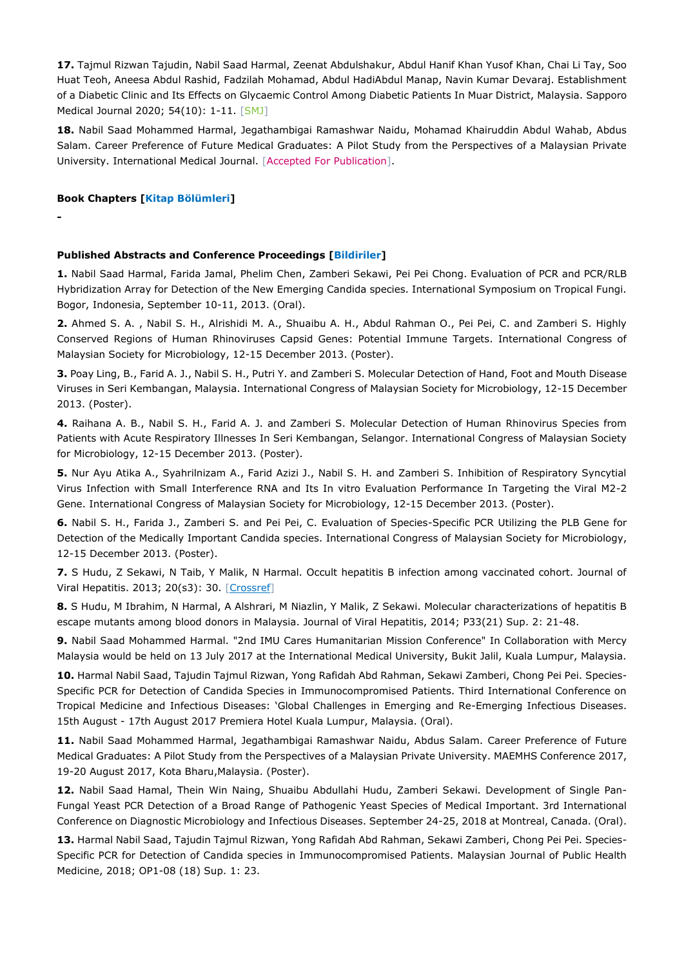**17.** Tajmul Rizwan Tajudin, Nabil Saad Harmal, Zeenat Abdulshakur, Abdul Hanif Khan Yusof Khan, Chai Li Tay, Soo Huat Teoh, Aneesa Abdul Rashid, Fadzilah Mohamad, Abdul HadiAbdul Manap, Navin Kumar Devaraj. Establishment of a Diabetic Clinic and Its Effects on Glycaemic Control Among Diabetic Patients In Muar District, Malaysia. Sapporo Medical Journal 2020; 54(10): 1-11. [\[SMJ\]](https://www.maejournal.com/article/establishment-of-a-diabetic-clinic-and-its-effects-on-glycaemic-control-among-diabetic-patients-in-muar-district-malaysia)

**18.** Nabil Saad Mohammed Harmal, Jegathambigai Ramashwar Naidu, Mohamad Khairuddin Abdul Wahab, Abdus Salam. Career Preference of Future Medical Graduates: A Pilot Study from the Perspectives of a Malaysian Private University. International Medical Journal. [Accepted For Publication].

#### **Book Chapters [Kitap Bölümleri]**

**-**

### **Published Abstracts and Conference Proceedings [Bildiriler]**

**1.** Nabil Saad Harmal, Farida Jamal, Phelim Chen, Zamberi Sekawi, Pei Pei Chong. Evaluation of PCR and PCR/RLB Hybridization Array for Detection of the New Emerging Candida species. International Symposium on Tropical Fungi. Bogor, Indonesia, September 10-11, 2013. (Oral).

**2.** Ahmed S. A. , Nabil S. H., Alrishidi M. A., Shuaibu A. H., Abdul Rahman O., Pei Pei, C. and Zamberi S. Highly Conserved Regions of Human Rhinoviruses Capsid Genes: Potential Immune Targets. International Congress of Malaysian Society for Microbiology, 12-15 December 2013. (Poster).

**3.** Poay Ling, B., Farid A. J., Nabil S. H., Putri Y. and Zamberi S. Molecular Detection of Hand, Foot and Mouth Disease Viruses in Seri Kembangan, Malaysia. International Congress of Malaysian Society for Microbiology, 12-15 December 2013. (Poster).

**4.** Raihana A. B., Nabil S. H., Farid A. J. and Zamberi S. Molecular Detection of Human Rhinovirus Species from Patients with Acute Respiratory Illnesses In Seri Kembangan, Selangor. International Congress of Malaysian Society for Microbiology, 12-15 December 2013. (Poster).

**5.** Nur Ayu Atika A., Syahrilnizam A., Farid Azizi J., Nabil S. H. and Zamberi S. Inhibition of Respiratory Syncytial Virus Infection with Small Interference RNA and Its In vitro Evaluation Performance In Targeting the Viral M2-2 Gene. International Congress of Malaysian Society for Microbiology, 12-15 December 2013. (Poster).

**6.** Nabil S. H., Farida J., Zamberi S. and Pei Pei, C. Evaluation of Species-Specific PCR Utilizing the PLB Gene for Detection of the Medically Important Candida species. International Congress of Malaysian Society for Microbiology, 12-15 December 2013. (Poster).

**7.** S Hudu, Z Sekawi, N Taib, Y Malik, N Harmal. Occult hepatitis B infection among vaccinated cohort. Journal of Viral Hepatitis. 2013; 20(s3): 30. [\[Crossref\]](https://doi.org/10.1111/jvh.12166_23)

**8.** S Hudu, M Ibrahim, N Harmal, A Alshrari, M Niazlin, Y Malik, Z Sekawi. Molecular characterizations of hepatitis B escape mutants among blood donors in Malaysia. Journal of Viral Hepatitis, 2014; P33(21) Sup. 2: 21-48.

**9.** Nabil Saad Mohammed Harmal. "2nd IMU Cares Humanitarian Mission Conference" In Collaboration with Mercy Malaysia would be held on 13 July 2017 at the International Medical University, Bukit Jalil, Kuala Lumpur, Malaysia.

**10.** Harmal Nabil Saad, Tajudin Tajmul Rizwan, Yong Rafidah Abd Rahman, Sekawi Zamberi, Chong Pei Pei. Species-Specific PCR for Detection of Candida Species in Immunocompromised Patients. Third International Conference on Tropical Medicine and Infectious Diseases: 'Global Challenges in Emerging and Re-Emerging Infectious Diseases. 15th August - 17th August 2017 Premiera Hotel Kuala Lumpur, Malaysia. (Oral).

**11.** Nabil Saad Mohammed Harmal, Jegathambigai Ramashwar Naidu, Abdus Salam. Career Preference of Future Medical Graduates: A Pilot Study from the Perspectives of a Malaysian Private University. MAEMHS Conference 2017, 19-20 August 2017, Kota Bharu,Malaysia. (Poster).

**12.** Nabil Saad Hamal, Thein Win Naing, Shuaibu Abdullahi Hudu, Zamberi Sekawi. Development of Single Pan-Fungal Yeast PCR Detection of a Broad Range of Pathogenic Yeast Species of Medical Important. 3rd International Conference on Diagnostic Microbiology and Infectious Diseases. September 24-25, 2018 at Montreal, Canada. (Oral).

**13.** Harmal Nabil Saad, Tajudin Tajmul Rizwan, Yong Rafidah Abd Rahman, Sekawi Zamberi, Chong Pei Pei. Species-Specific PCR for Detection of Candida species in Immunocompromised Patients. Malaysian Journal of Public Health Medicine, 2018; OP1-08 (18) Sup. 1: 23.